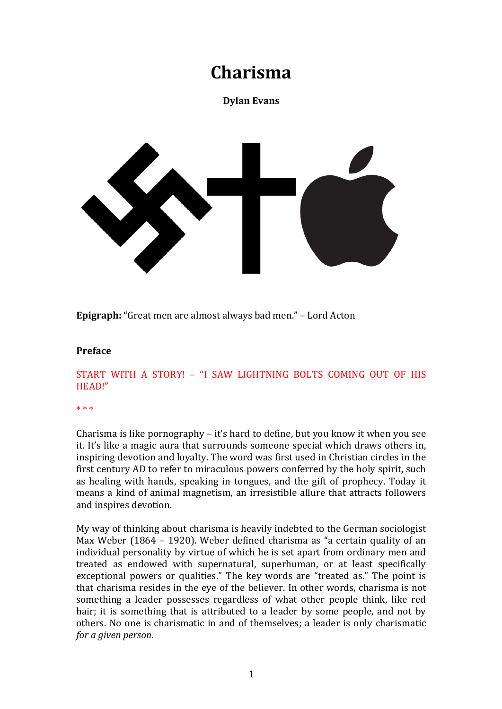# **Charisma**

# **Dylan Evans**



**Epigraph:** "Great men are almost always bad men." - Lord Acton

#### **Preface**

# START WITH A STORY! - "I SAW LIGHTNING BOLTS COMING OUT OF HIS HEAD!"

\* \* \* 

Charisma is like pornography  $-$  it's hard to define, but you know it when you see it. It's like a magic aura that surrounds someone special which draws others in, inspiring devotion and loyalty. The word was first used in Christian circles in the first century AD to refer to miraculous powers conferred by the holy spirit, such as healing with hands, speaking in tongues, and the gift of prophecy. Today it means a kind of animal magnetism, an irresistible allure that attracts followers and inspires devotion.

My way of thinking about charisma is heavily indebted to the German sociologist Max Weber (1864 – 1920). Weber defined charisma as "a certain quality of an individual personality by virtue of which he is set apart from ordinary men and treated as endowed with supernatural, superhuman, or at least specifically exceptional powers or qualities." The key words are "treated as." The point is that charisma resides in the eye of the believer. In other words, charisma is not something a leader possesses regardless of what other people think, like red hair; it is something that is attributed to a leader by some people, and not by others. No one is charismatic in and of themselves; a leader is only charismatic *for a given person.*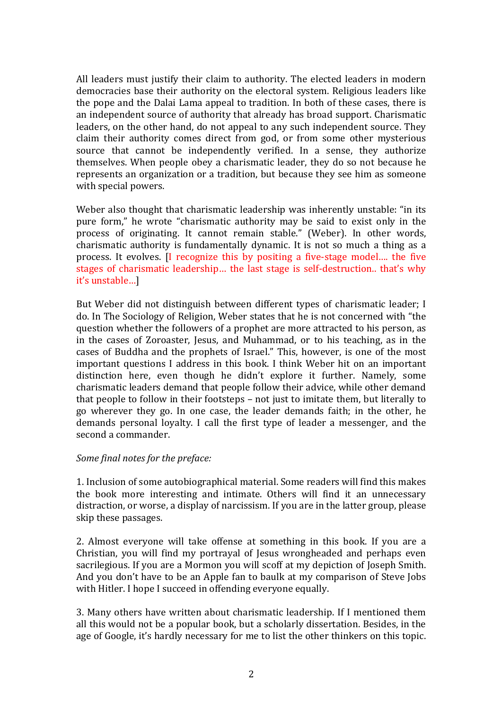All leaders must justify their claim to authority. The elected leaders in modern democracies base their authority on the electoral system. Religious leaders like the pope and the Dalai Lama appeal to tradition. In both of these cases, there is an independent source of authority that already has broad support. Charismatic leaders, on the other hand, do not appeal to any such independent source. They claim their authority comes direct from god, or from some other mysterious source that cannot be independently verified. In a sense, they authorize themselves. When people obey a charismatic leader, they do so not because he represents an organization or a tradition, but because they see him as someone with special powers.

Weber also thought that charismatic leadership was inherently unstable: "in its pure form," he wrote "charismatic authority may be said to exist only in the process of originating. It cannot remain stable." (Weber). In other words, charismatic authority is fundamentally dynamic. It is not so much a thing as a process. It evolves. [I recognize this by positing a five-stage model... the five stages of charismatic leadership... the last stage is self-destruction.. that's why it's unstable...]

But Weber did not distinguish between different types of charismatic leader; I do. In The Sociology of Religion, Weber states that he is not concerned with "the question whether the followers of a prophet are more attracted to his person, as in the cases of Zoroaster, Jesus, and Muhammad, or to his teaching, as in the cases of Buddha and the prophets of Israel." This, however, is one of the most important questions I address in this book. I think Weber hit on an important distinction here, even though he didn't explore it further. Namely, some charismatic leaders demand that people follow their advice, while other demand that people to follow in their footsteps  $-$  not just to imitate them, but literally to go wherever they go. In one case, the leader demands faith; in the other, he demands personal loyalty. I call the first type of leader a messenger, and the second a commander.

#### *Some final notes for the preface:*

1. Inclusion of some autobiographical material. Some readers will find this makes the book more interesting and intimate. Others will find it an unnecessary distraction, or worse, a display of narcissism. If you are in the latter group, please skip these passages.

2. Almost everyone will take offense at something in this book. If you are a Christian, you will find my portrayal of Jesus wrongheaded and perhaps even sacrilegious. If you are a Mormon you will scoff at my depiction of Joseph Smith. And you don't have to be an Apple fan to baulk at my comparison of Steve Jobs with Hitler. I hope I succeed in offending everyone equally.

3. Many others have written about charismatic leadership. If I mentioned them all this would not be a popular book, but a scholarly dissertation. Besides, in the age of Google, it's hardly necessary for me to list the other thinkers on this topic.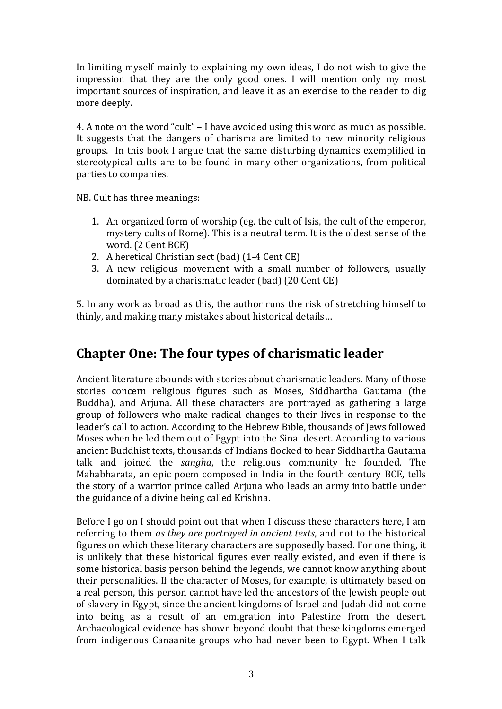In limiting myself mainly to explaining my own ideas, I do not wish to give the impression that they are the only good ones. I will mention only my most important sources of inspiration, and leave it as an exercise to the reader to dig more deeply.

4. A note on the word "cult"  $-1$  have avoided using this word as much as possible. It suggests that the dangers of charisma are limited to new minority religious groups. In this book I argue that the same disturbing dynamics exemplified in stereotypical cults are to be found in many other organizations, from political parties to companies.

NB. Cult has three meanings:

- 1. An organized form of worship (eg. the cult of Isis, the cult of the emperor, mystery cults of Rome). This is a neutral term. It is the oldest sense of the word. (2 Cent BCE)
- 2. A heretical Christian sect (bad) (1-4 Cent CE)
- 3. A new religious movement with a small number of followers, usually dominated by a charismatic leader (bad) (20 Cent CE)

5. In any work as broad as this, the author runs the risk of stretching himself to thinly, and making many mistakes about historical details...

# **Chapter One: The four types of charismatic leader**

Ancient literature abounds with stories about charismatic leaders. Many of those stories concern religious figures such as Moses, Siddhartha Gautama (the Buddha), and Arjuna. All these characters are portrayed as gathering a large group of followers who make radical changes to their lives in response to the leader's call to action. According to the Hebrew Bible, thousands of Jews followed Moses when he led them out of Egypt into the Sinai desert. According to various ancient Buddhist texts, thousands of Indians flocked to hear Siddhartha Gautama talk and joined the *sangha*, the religious community he founded. The Mahabharata, an epic poem composed in India in the fourth century BCE, tells the story of a warrior prince called Arjuna who leads an army into battle under the guidance of a divine being called Krishna.

Before I go on I should point out that when I discuss these characters here, I am referring to them *as they are portrayed in ancient texts*, and not to the historical figures on which these literary characters are supposedly based. For one thing, it is unlikely that these historical figures ever really existed, and even if there is some historical basis person behind the legends, we cannot know anything about their personalities. If the character of Moses, for example, is ultimately based on a real person, this person cannot have led the ancestors of the Jewish people out of slavery in Egypt, since the ancient kingdoms of Israel and Judah did not come into being as a result of an emigration into Palestine from the desert. Archaeological evidence has shown beyond doubt that these kingdoms emerged from indigenous Canaanite groups who had never been to Egypt. When I talk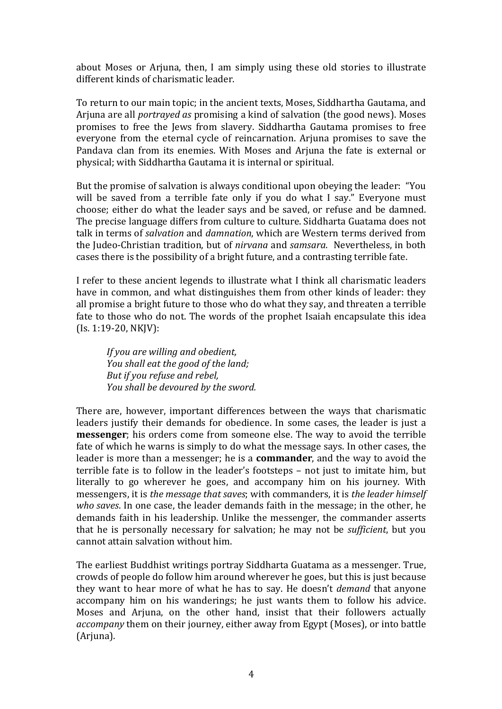about Moses or Arjuna, then, I am simply using these old stories to illustrate different kinds of charismatic leader.

To return to our main topic; in the ancient texts, Moses, Siddhartha Gautama, and Arjuna are all *portrayed as* promising a kind of salvation (the good news). Moses promises to free the Jews from slavery. Siddhartha Gautama promises to free everyone from the eternal cycle of reincarnation. Arjuna promises to save the Pandava clan from its enemies. With Moses and Arjuna the fate is external or physical; with Siddhartha Gautama it is internal or spiritual.

But the promise of salvation is always conditional upon obeying the leader: "You will be saved from a terrible fate only if you do what I say." Everyone must choose; either do what the leader says and be saved, or refuse and be damned. The precise language differs from culture to culture. Siddharta Guatama does not talk in terms of *salvation* and *damnation*, which are Western terms derived from the Judeo-Christian tradition, but of *nirvana* and *samsara*. Nevertheless, in both cases there is the possibility of a bright future, and a contrasting terrible fate.

I refer to these ancient legends to illustrate what I think all charismatic leaders have in common, and what distinguishes them from other kinds of leader: they all promise a bright future to those who do what they say, and threaten a terrible fate to those who do not. The words of the prophet Isaiah encapsulate this idea  $(Is. 1:19-20, NK]V$ :

*If* you are willing and obedient, *You shall eat the good of the land; But if you refuse and rebel, You shall be devoured by the sword.* 

There are, however, important differences between the ways that charismatic leaders justify their demands for obedience. In some cases, the leader is just a **messenger**; his orders come from someone else. The way to avoid the terrible fate of which he warns is simply to do what the message says. In other cases, the leader is more than a messenger; he is a **commander**, and the way to avoid the terrible fate is to follow in the leader's footsteps  $-$  not just to imitate him, but literally to go wherever he goes, and accompany him on his journey. With messengers, it is *the message that saves*; with commanders, it is *the leader himself who saves*. In one case, the leader demands faith in the message; in the other, he demands faith in his leadership. Unlike the messenger, the commander asserts that he is personally necessary for salvation; he may not be *sufficient*, but you cannot attain salvation without him.

The earliest Buddhist writings portray Siddharta Guatama as a messenger. True, crowds of people do follow him around wherever he goes, but this is just because they want to hear more of what he has to say. He doesn't *demand* that anyone accompany him on his wanderings; he just wants them to follow his advice. Moses and Arjuna, on the other hand, insist that their followers actually *accompany* them on their journey, either away from Egypt (Moses), or into battle (Arjuna).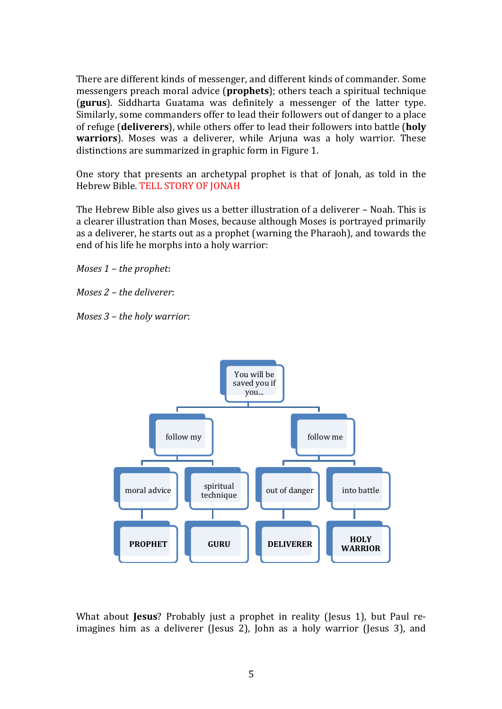There are different kinds of messenger, and different kinds of commander. Some messengers preach moral advice (**prophets**); others teach a spiritual technique **(gurus**). Siddharta Guatama was definitely a messenger of the latter type. Similarly, some commanders offer to lead their followers out of danger to a place of refuge (**deliverers**), while others offer to lead their followers into battle (holy **warriors**). Moses was a deliverer, while Arjuna was a holy warrior. These distinctions are summarized in graphic form in Figure 1.

One story that presents an archetypal prophet is that of Jonah, as told in the Hebrew Bible. TELL STORY OF JONAH

The Hebrew Bible also gives us a better illustration of a deliverer - Noah. This is a clearer illustration than Moses, because although Moses is portrayed primarily as a deliverer, he starts out as a prophet (warning the Pharaoh), and towards the end of his life he morphs into a holy warrior:

*Moses* 1 – *the prophet*:

*Moses 2 – the deliverer:* 

*Moses* 3 – *the holy warrior*:



What about **Jesus**? Probably just a prophet in reality (Jesus 1), but Paul reimagines him as a deliverer (Jesus 2), John as a holy warrior (Jesus 3), and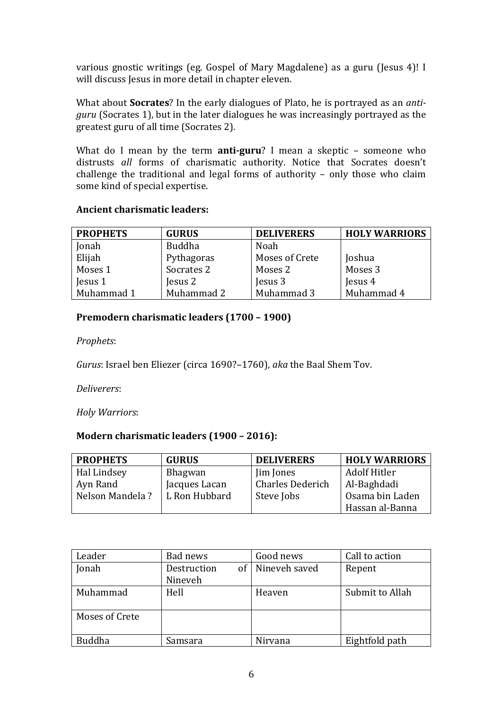various gnostic writings (eg. Gospel of Mary Magdalene) as a guru (Jesus 4)! I will discuss Jesus in more detail in chapter eleven.

What about **Socrates**? In the early dialogues of Plato, he is portrayed as an *antiguru* (Socrates 1), but in the later dialogues he was increasingly portrayed as the greatest guru of all time (Socrates 2).

What do I mean by the term **anti-guru**? I mean a skeptic – someone who distrusts all forms of charismatic authority. Notice that Socrates doesn't challenge the traditional and legal forms of authority  $-$  only those who claim some kind of special expertise.

#### **Ancient charismatic leaders:**

| <b>PROPHETS</b> | <b>GURUS</b>  | <b>DELIVERERS</b> | <b>HOLY WARRIORS</b> |
|-----------------|---------------|-------------------|----------------------|
| Jonah           | <b>Buddha</b> | Noah              |                      |
| Elijah          | Pythagoras    | Moses of Crete    | Joshua               |
| Moses 1         | Socrates 2    | Moses 2           | Moses 3              |
| Jesus 1         | Jesus 2       | Jesus 3           | Jesus 4              |
| Muhammad 1      | Muhammad 2    | Muhammad 3        | Muhammad 4           |

# **Premodern charismatic leaders (1700 - 1900)**

*Prophets*: 

*Gurus*: Israel ben Eliezer (circa 1690?–1760), *aka* the Baal Shem Tov.

*Deliverers*:

*Holy Warriors*:

#### **Modern charismatic leaders (1900 - 2016):**

| <b>PROPHETS</b> | <b>GURUS</b>  | <b>DELIVERERS</b>       | <b>HOLY WARRIORS</b> |
|-----------------|---------------|-------------------------|----------------------|
| Hal Lindsey     | Bhagwan       | Jim Jones               | Adolf Hitler         |
| Ayn Rand        | Jacques Lacan | <b>Charles Dederich</b> | Al-Baghdadi          |
| Nelson Mandela? | L Ron Hubbard | Steve Jobs              | Osama bin Laden      |
|                 |               |                         | Hassan al-Banna      |

| Leader         | Bad news    | Good news          | Call to action  |
|----------------|-------------|--------------------|-----------------|
| Jonah          | Destruction | of   Nineveh saved | Repent          |
|                | Nineveh     |                    |                 |
| Muhammad       | Hell        | Heaven             | Submit to Allah |
| Moses of Crete |             |                    |                 |
| <b>Buddha</b>  | Samsara     | Nirvana            | Eightfold path  |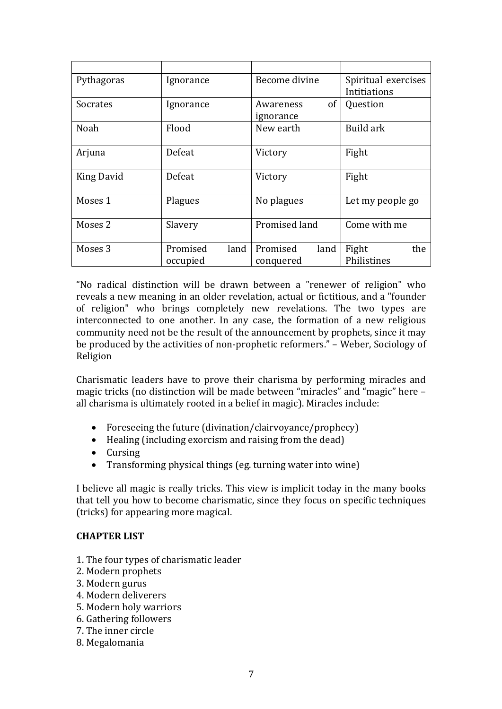| Pythagoras        | Ignorance        | Become divine    | Spiritual exercises |
|-------------------|------------------|------------------|---------------------|
|                   |                  |                  | Intitiations        |
| <b>Socrates</b>   | Ignorance        | of<br>Awareness  | Question            |
|                   |                  | ignorance        |                     |
| Noah              | Flood            | New earth        | Build ark           |
|                   |                  |                  |                     |
| Arjuna            | Defeat           | Victory          | Fight               |
|                   |                  |                  |                     |
| <b>King David</b> | Defeat           | Victory          | Fight               |
|                   |                  |                  |                     |
| Moses 1           | Plagues          | No plagues       | Let my people go    |
|                   |                  |                  |                     |
| Moses 2           | Slavery          | Promised land    | Come with me        |
|                   |                  |                  |                     |
| Moses 3           | Promised<br>land | Promised<br>land | Fight<br>the        |
|                   | occupied         | conquered        | Philistines         |

"No radical distinction will be drawn between a "renewer of religion" who reveals a new meaning in an older revelation, actual or fictitious, and a "founder of religion" who brings completely new revelations. The two types are interconnected to one another. In any case, the formation of a new religious community need not be the result of the announcement by prophets, since it may be produced by the activities of non-prophetic reformers." - Weber, Sociology of Religion

Charismatic leaders have to prove their charisma by performing miracles and magic tricks (no distinction will be made between "miracles" and "magic" here all charisma is ultimately rooted in a belief in magic). Miracles include:

- Foreseeing the future (divination/clairvoyance/prophecy)
- Healing (including exorcism and raising from the dead)
- Cursing
- Transforming physical things (eg. turning water into wine)

I believe all magic is really tricks. This view is implicit today in the many books that tell you how to become charismatic, since they focus on specific techniques (tricks) for appearing more magical.

#### **CHAPTER LIST**

- 1. The four types of charismatic leader
- 2. Modern prophets
- 3. Modern gurus
- 4. Modern deliverers
- 5. Modern holy warriors
- 6. Gathering followers
- 7. The inner circle
- 8. Megalomania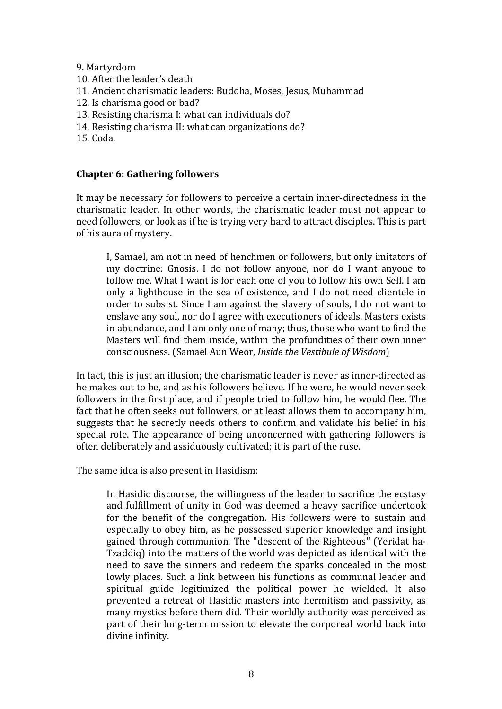#### 9. Martyrdom

- 10. After the leader's death
- 11. Ancient charismatic leaders: Buddha, Moses, Jesus, Muhammad
- 12. Is charisma good or bad?
- 13. Resisting charisma I: what can individuals do?
- 14. Resisting charisma II: what can organizations do?
- 15. Coda.

#### **Chapter 6: Gathering followers**

It may be necessary for followers to perceive a certain inner-directedness in the charismatic leader. In other words, the charismatic leader must not appear to need followers, or look as if he is trying very hard to attract disciples. This is part of his aura of mystery.

I, Samael, am not in need of henchmen or followers, but only imitators of my doctrine: Gnosis. I do not follow anyone, nor do I want anyone to follow me. What I want is for each one of you to follow his own Self. I am only a lighthouse in the sea of existence, and I do not need clientele in order to subsist. Since I am against the slavery of souls, I do not want to enslave any soul, nor do I agree with executioners of ideals. Masters exists in abundance, and I am only one of many; thus, those who want to find the Masters will find them inside, within the profundities of their own inner consciousness. (Samael Aun Weor, *Inside the Vestibule of Wisdom*)

In fact, this is just an illusion; the charismatic leader is never as inner-directed as he makes out to be, and as his followers believe. If he were, he would never seek followers in the first place, and if people tried to follow him, he would flee. The fact that he often seeks out followers, or at least allows them to accompany him, suggests that he secretly needs others to confirm and validate his belief in his special role. The appearance of being unconcerned with gathering followers is often deliberately and assiduously cultivated; it is part of the ruse.

The same idea is also present in Hasidism:

In Hasidic discourse, the willingness of the leader to sacrifice the ecstasy and fulfillment of unity in God was deemed a heavy sacrifice undertook for the benefit of the congregation. His followers were to sustain and especially to obey him, as he possessed superior knowledge and insight gained through communion. The "descent of the Righteous" (Yeridat ha-Tzaddiq) into the matters of the world was depicted as identical with the need to save the sinners and redeem the sparks concealed in the most lowly places. Such a link between his functions as communal leader and spiritual guide legitimized the political power he wielded. It also prevented a retreat of Hasidic masters into hermitism and passivity, as many mystics before them did. Their worldly authority was perceived as part of their long-term mission to elevate the corporeal world back into divine infinity.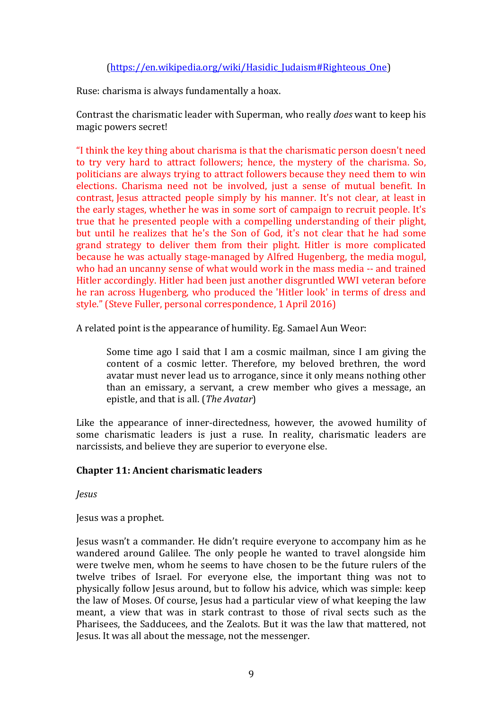# (https://en.wikipedia.org/wiki/Hasidic\_Judaism#Righteous\_One)

Ruse: charisma is always fundamentally a hoax.

Contrast the charismatic leader with Superman, who really *does* want to keep his magic powers secret!

"I think the key thing about charisma is that the charismatic person doesn't need to try very hard to attract followers; hence, the mystery of the charisma. So, politicians are always trying to attract followers because they need them to win elections. Charisma need not be involved, just a sense of mutual benefit. In contrast, Jesus attracted people simply by his manner. It's not clear, at least in the early stages, whether he was in some sort of campaign to recruit people. It's true that he presented people with a compelling understanding of their plight, but until he realizes that he's the Son of God, it's not clear that he had some grand strategy to deliver them from their plight. Hitler is more complicated because he was actually stage-managed by Alfred Hugenberg, the media mogul, who had an uncanny sense of what would work in the mass media -- and trained Hitler accordingly. Hitler had been just another disgruntled WWI veteran before he ran across Hugenberg, who produced the 'Hitler look' in terms of dress and style." (Steve Fuller, personal correspondence, 1 April 2016)

A related point is the appearance of humility. Eg. Samael Aun Weor:

Some time ago I said that I am a cosmic mailman, since I am giving the content of a cosmic letter. Therefore, my beloved brethren, the word avatar must never lead us to arrogance, since it only means nothing other than an emissary, a servant, a crew member who gives a message, an epistle, and that is all. (*The Avatar*)

Like the appearance of inner-directedness, however, the avowed humility of some charismatic leaders is just a ruse. In reality, charismatic leaders are narcissists, and believe they are superior to everyone else.

#### **Chapter 11: Ancient charismatic leaders**

*Jesus*

Jesus was a prophet.

Jesus wasn't a commander. He didn't require everyone to accompany him as he wandered around Galilee. The only people he wanted to travel alongside him were twelve men, whom he seems to have chosen to be the future rulers of the twelve tribes of Israel. For everyone else, the important thing was not to physically follow Jesus around, but to follow his advice, which was simple: keep the law of Moses. Of course, Jesus had a particular view of what keeping the law meant, a view that was in stark contrast to those of rival sects such as the Pharisees, the Sadducees, and the Zealots. But it was the law that mattered, not Jesus. It was all about the message, not the messenger.